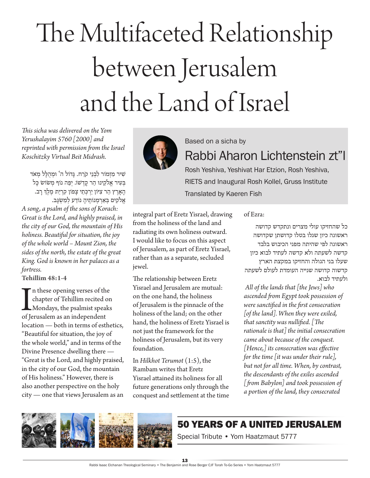## The Multifaceted Relationship between Jerusalem and the Land of Israel

*This sicha was delivered on the Yom Yerushalayim 5760 [2000] and reprinted with permission from the Israel Koschitzky Virtual Beit Midrash.*

שִׁיר מִזְמוֹר לִבְנֵי קֹרַח. גַּדוֹל ה' וּמְהִלַּל מְאֹד בְעִיר אֱלֹקֵינוּ הַר קַדְשׁוֹ. יְפֵה נוֹף מְשׂוֹש כַּל הָאָרֶץ הַר צִיּּוֹן יַרְכְּתֵי צָפוֹן קִרְיַת מֶלֶךְ רָב. אֵלֹקִים בְּאַרְמְנוֹתֵיהָ נוֹדַע *לְמְש*ָנֶב.

*A song, a psalm of the sons of Korach: Great is the Lord, and highly praised, in the city of our God, the mountain of His holiness. Beautiful for situation, the joy of the whole world – Mount Zion, the sides of the north, the estate of the great King. God is known in her palaces as a fortress.*

**Tehillim 48:1-4**

In these opening verses of the chapter of Tehillim recited comparison of Jerusalem as an independent n these opening verses of the chapter of Tehillim recited on Mondays, the psalmist speaks location — both in terms of esthetics, "Beautiful for situation, the joy of the whole world," and in terms of the Divine Presence dwelling there — "Great is the Lord, and highly praised, in the city of our God, the mountain of His holiness." However, there is also another perspective on the holy city — one that views Jerusalem as an



Based on a sicha by

Rabbi Aharon Lichtenstein zt"l

Rosh Yeshiva, Yeshivat Har Etzion, Rosh Yeshiva, RIETS and Inaugural Rosh Kollel, Gruss Institute Translated by Kaeren Fish

integral part of Eretz Yisrael, drawing from the holiness of the land and radiating its own holiness outward. I would like to focus on this aspect of Jerusalem, as part of Eretz Yisrael, rather than as a separate, secluded jewel.

The relationship between Eretz Yisrael and Jerusalem are mutual: on the one hand, the holiness of Jerusalem is the pinnacle of the holiness of the land; on the other hand, the holiness of Eretz Yisrael is not just the framework for the holiness of Jerusalem, but its very foundation.

In *Hilkhot Terumot* (1:5), the Rambam writes that Eretz Yisrael attained its holiness for all future generations only through the conquest and settlement at the time of Ezra:

כל שהחזיקו עולי מצרים ונתקדש קדושה ראשונה כיון שגלו בטלו קדושתן שקדושה ראשונה לפי שהיתה מפני הכיבוש בלבד קדשה לשעתה ולא קדשה לעתיד לבוא כיון שעלו בני הגולה והחזיקו במקצת הארץ קדשוה קדושה שנייה העומדת לעולם לשעתה ולעתיד לבוא.

 *All of the lands that [the Jews] who ascended from Egypt took possession of were sanctified in the first consecration [of the land]. When they were exiled, that sanctity was nullified. [The rationale is that] the initial consecration came about because of the conquest. [Hence,] its consecration was effective for the time [it was under their rule], but not for all time. When, by contrast, the descendants of the exiles ascended [from Babylon] and took possession of a portion of the land, they consecrated* 

## 50 Years of a united Jerusalem

Special Tribute • Yom Haatzmaut 5777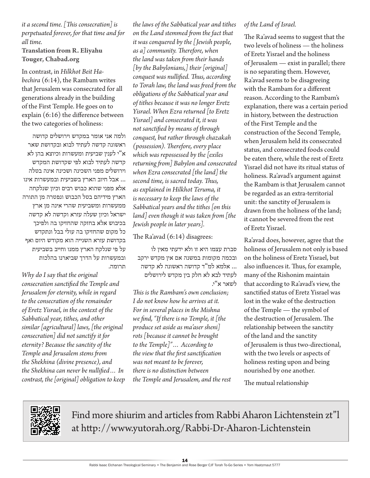## *it a second time. [This consecration] is perpetuated forever, for that time and for all time.*

**Translation from R. Eliyahu Touger, Chabad.org** 

In contrast, in *Hilkhot Beit Habechira* (6:14), the Rambam writes that Jerusalem was consecrated for all generations already in the building of the First Temple. He goes on to explain (6:16) the difference between the two categories of holiness:

ולמה אני אומר במקדש וירושלים קדושה ראשונה קדשה לעתיד לבוא ובקדושת שאר א"י לענין שביעית ומעשרות וכיוצא בהן לא קדשה לעתיד לבוא לפי שקדושת המקדש וירושלים מפני השכינה ושכינה אינה בטלה ... אבל חיוב הארץ בשביעית ובמעשרות אינו אלא מפני שהוא כבוש רבים וכיון שנלקחה הארץ מידיהם בטל הכבוש ונפטרה מן התורה ממעשרות ומשביעית שהרי אינה מן ארץ ישראל וכיון שעלה עזרא וקדשה לא קדשה בכיבוש אלא בחזקה שהחזיקו בה ולפיכך כל מקום שהחזיקו בה עולי בבל ונתקדש בקדושת עזרא השנייה הוא מקודש היום ואף על פי שנלקח הארץ ממנו וחייב בשביעית ובמעשרות על הדרך שביארנו בהלכות תרומה.

*Why do I say that the original consecration sanctified the Temple and Jerusalem for eternity, while in regard to the consecration of the remainder of Eretz Yisrael, in the context of the Sabbatical year, tithes, and other similar [agricultural] laws, [the original consecration] did not sanctify it for eternity? Because the sanctity of the Temple and Jerusalem stems from the Shekhina (divine presence), and the Shekhina can never be nullified… In contrast, the [original] obligation to keep* 

*the laws of the Sabbatical year and tithes on the Land stemmed from the fact that it was conquered by the [Jewish people, as a] community. Therefore, when the land was taken from their hands [by the Babylonians,] their [original] conquest was nullified. Thus, according to Torah law, the land was freed from the obligations of the Sabbatical year and of tithes because it was no longer Eretz Yisrael. When Ezra returned [to Eretz Yisrael] and consecrated it, it was not sanctified by means of through conquest, but rather through chazakah (possession). Therefore, every place which was repossessed by the [exiles returning from] Babylon and consecrated when Ezra consecrated [the land] the second time, is sacred today. Thus, as explained in Hilkhot Teruma, it is necessary to keep the laws of the Sabbatical years and the tithes [on this land] even though it was taken from [the Jewish people in later years].*

The Ra'avad (6:14) disagrees:

סברת עצמו היא זו ולא ידעתי מאין לו ובכמה מקומות במשנה אם אין מקדש ירקב ... אלמא למ"ד קדושה ראשונה לא קדשה לעתיד לבא לא חלק בין מקדש לירושלים לשאר א"י.

*This is the Rambam's own conclusion; I do not know how he arrives at it. For in several places in the Mishna we find, "If there is no Temple, it [the produce set aside as ma'aser sheni] rots [because it cannot be brought to the Temple]"… According to the view that the first sanctification was not meant to be forever, there is no distinction between the Temple and Jerusalem, and the rest* 

## *of the Land of Israel.*

The Ra'avad seems to suggest that the two levels of holiness — the holiness of Eretz Yisrael and the holiness of Jerusalem — exist in parallel; there is no separating them. However, Ra'avad seems to be disagreeing with the Rambam for a different reason. According to the Rambam's explanation, there was a certain period in history, between the destruction of the First Temple and the construction of the Second Temple, when Jerusalem held its consecrated status, and consecrated foods could be eaten there, while the rest of Eretz Yisrael did not have its ritual status of holiness. Ra'avad's argument against the Rambam is that Jerusalem cannot be regarded as an extra-territorial unit: the sanctity of Jerusalem is drawn from the holiness of the land; it cannot be severed from the rest of Eretz Yisrael.

Ra'avad does, however, agree that the holiness of Jerusalem not only is based on the holiness of Eretz Yisrael, but also influences it. Thus, for example, many of the Rishonim maintain that according to Ra'avad's view, the sanctified status of Eretz Yisrael was lost in the wake of the destruction of the Temple — the symbol of the destruction of Jerusalem. The relationship between the sanctity of the land and the sanctity of Jerusalem is thus two-directional, with the two levels or aspects of holiness resting upon and being nourished by one another.

The mutual relationship



Find more shiurim and articles from Rabbi Aharon Lichtenstein zt"l at http://www.yutorah.org/Rabbi-Dr-Aharon-Lichtenstein